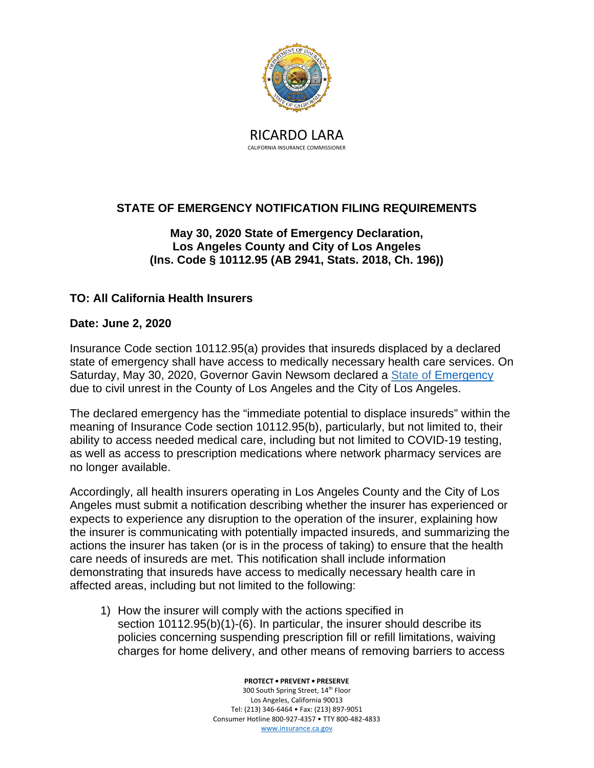

CALIFORNIA INSURANCE COMMISSIONER

## **STATE OF EMERGENCY NOTIFICATION FILING REQUIREMENTS**

## **May 30, 2020 State of Emergency Declaration, Los Angeles County and City of Los Angeles (Ins. Code § 10112.95 (AB 2941, Stats. 2018, Ch. 196))**

## **TO: All California Health Insurers**

## **Date: June 2, 2020**

Insurance Code section 10112.95(a) provides that insureds displaced by a declared state of emergency shall have access to medically necessary health care services. On Saturday, May 30, 2020, Governor Gavin Newsom declared a State of [Emergency](https://www.gov.ca.gov/wp-content/uploads/2020/05/5.30.20-Los-Angeles-SOE-Proclamation.pdf) due to civil unrest in the County of Los Angeles and the City of Los Angeles.

The declared emergency has the "immediate potential to displace insureds" within the meaning of Insurance Code section 10112.95(b), particularly, but not limited to, their ability to access needed medical care, including but not limited to COVID-19 testing, as well as access to prescription medications where network pharmacy services are no longer available.

Accordingly, all health insurers operating in Los Angeles County and the City of Los Angeles must submit a notification describing whether the insurer has experienced or expects to experience any disruption to the operation of the insurer, explaining how the insurer is communicating with potentially impacted insureds, and summarizing the actions the insurer has taken (or is in the process of taking) to ensure that the health care needs of insureds are met. This notification shall include information demonstrating that insureds have access to medically necessary health care in affected areas, including but not limited to the following:

1) How the insurer will comply with the actions specified in section 10112.95(b)(1)-(6). In particular, the insurer should describe its policies concerning suspending prescription fill or refill limitations, waiving charges for home delivery, and other means of removing barriers to access

> **PROTECT • PREVENT • PRESERVE** 300 South Spring Street, 14<sup>th</sup> Floor Los Angeles, California 90013 Tel: (213) 346-6464 • Fax: (213) 897-9051 Consumer Hotline 800-927-4357 • TTY 800-482-4833 [www.insurance.ca.gov](http://www.insurance.ca.gov/)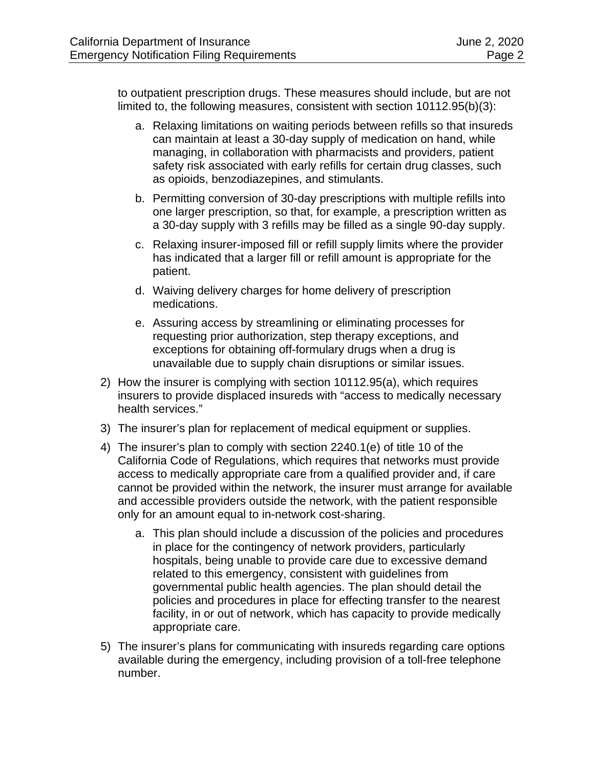to outpatient prescription drugs. These measures should include, but are not limited to, the following measures, consistent with section 10112.95(b)(3):

- a. Relaxing limitations on waiting periods between refills so that insureds can maintain at least a 30-day supply of medication on hand, while managing, in collaboration with pharmacists and providers, patient safety risk associated with early refills for certain drug classes, such as opioids, benzodiazepines, and stimulants.
- b. Permitting conversion of 30-day prescriptions with multiple refills into one larger prescription, so that, for example, a prescription written as a 30-day supply with 3 refills may be filled as a single 90-day supply.
- c. Relaxing insurer-imposed fill or refill supply limits where the provider has indicated that a larger fill or refill amount is appropriate for the patient.
- d. Waiving delivery charges for home delivery of prescription medications.
- e. Assuring access by streamlining or eliminating processes for requesting prior authorization, step therapy exceptions, and exceptions for obtaining off-formulary drugs when a drug is unavailable due to supply chain disruptions or similar issues.
- 2) How the insurer is complying with section 10112.95(a), which requires insurers to provide displaced insureds with "access to medically necessary health services."
- 3) The insurer's plan for replacement of medical equipment or supplies.
- 4) The insurer's plan to comply with section 2240.1(e) of title 10 of the California Code of Regulations, which requires that networks must provide access to medically appropriate care from a qualified provider and, if care cannot be provided within the network, the insurer must arrange for available and accessible providers outside the network, with the patient responsible only for an amount equal to in-network cost-sharing.
	- a. This plan should include a discussion of the policies and procedures in place for the contingency of network providers, particularly hospitals, being unable to provide care due to excessive demand related to this emergency, consistent with guidelines from governmental public health agencies. The plan should detail the policies and procedures in place for effecting transfer to the nearest facility, in or out of network, which has capacity to provide medically appropriate care.
- 5) The insurer's plans for communicating with insureds regarding care options available during the emergency, including provision of a toll-free telephone number.